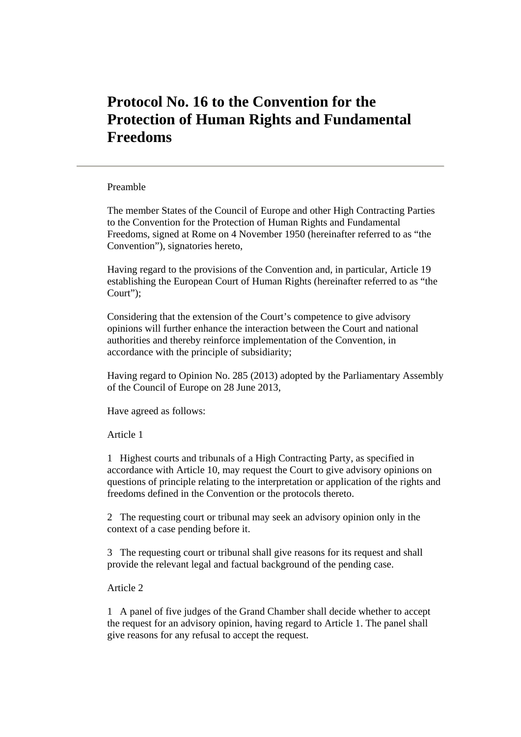# **Protocol No. 16 to the Convention for the Protection of Human Rights and Fundamental Freedoms**

# Preamble

The member States of the Council of Europe and other High Contracting Parties to the Convention for the Protection of Human Rights and Fundamental Freedoms, signed at Rome on 4 November 1950 (hereinafter referred to as "the Convention"), signatories hereto,

Having regard to the provisions of the Convention and, in particular, Article 19 establishing the European Court of Human Rights (hereinafter referred to as "the Court");

Considering that the extension of the Court's competence to give advisory opinions will further enhance the interaction between the Court and national authorities and thereby reinforce implementation of the Convention, in accordance with the principle of subsidiarity;

Having regard to Opinion No. 285 (2013) adopted by the Parliamentary Assembly of the Council of Europe on 28 June 2013,

Have agreed as follows:

# Article 1

1 Highest courts and tribunals of a High Contracting Party, as specified in accordance with Article 10, may request the Court to give advisory opinions on questions of principle relating to the interpretation or application of the rights and freedoms defined in the Convention or the protocols thereto.

2 The requesting court or tribunal may seek an advisory opinion only in the context of a case pending before it.

3 The requesting court or tribunal shall give reasons for its request and shall provide the relevant legal and factual background of the pending case.

# Article 2

1 A panel of five judges of the Grand Chamber shall decide whether to accept the request for an advisory opinion, having regard to Article 1. The panel shall give reasons for any refusal to accept the request.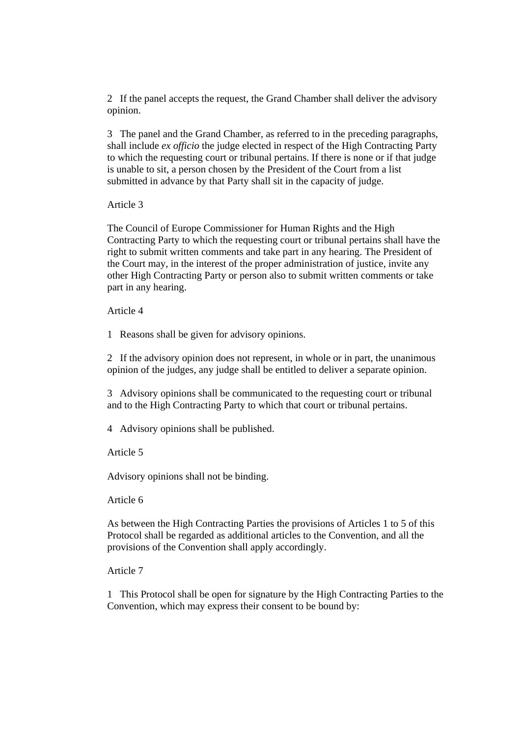2 If the panel accepts the request, the Grand Chamber shall deliver the advisory opinion.

3 The panel and the Grand Chamber, as referred to in the preceding paragraphs, shall include *ex officio* the judge elected in respect of the High Contracting Party to which the requesting court or tribunal pertains. If there is none or if that judge is unable to sit, a person chosen by the President of the Court from a list submitted in advance by that Party shall sit in the capacity of judge.

# Article 3

The Council of Europe Commissioner for Human Rights and the High Contracting Party to which the requesting court or tribunal pertains shall have the right to submit written comments and take part in any hearing. The President of the Court may, in the interest of the proper administration of justice, invite any other High Contracting Party or person also to submit written comments or take part in any hearing.

# Article 4

1 Reasons shall be given for advisory opinions.

2 If the advisory opinion does not represent, in whole or in part, the unanimous opinion of the judges, any judge shall be entitled to deliver a separate opinion.

3 Advisory opinions shall be communicated to the requesting court or tribunal and to the High Contracting Party to which that court or tribunal pertains.

4 Advisory opinions shall be published.

Article 5

Advisory opinions shall not be binding.

#### Article 6

As between the High Contracting Parties the provisions of Articles 1 to 5 of this Protocol shall be regarded as additional articles to the Convention, and all the provisions of the Convention shall apply accordingly.

# Article 7

1 This Protocol shall be open for signature by the High Contracting Parties to the Convention, which may express their consent to be bound by: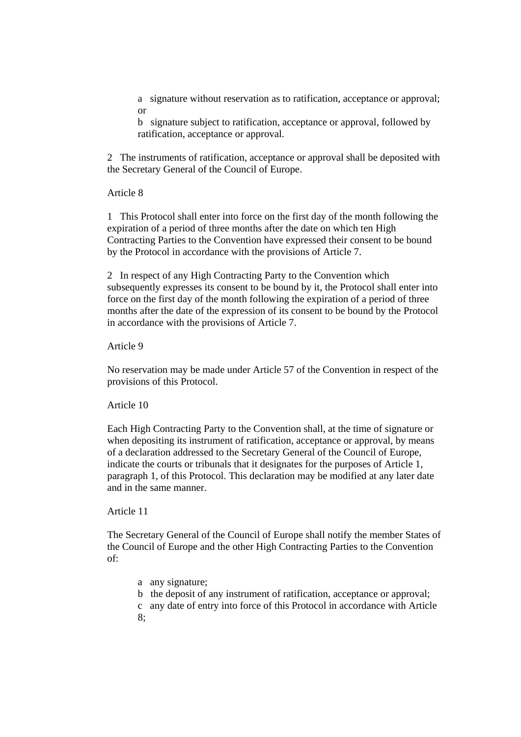a signature without reservation as to ratification, acceptance or approval; or

b signature subject to ratification, acceptance or approval, followed by ratification, acceptance or approval.

2 The instruments of ratification, acceptance or approval shall be deposited with the Secretary General of the Council of Europe.

#### Article 8

1 This Protocol shall enter into force on the first day of the month following the expiration of a period of three months after the date on which ten High Contracting Parties to the Convention have expressed their consent to be bound by the Protocol in accordance with the provisions of Article 7.

2 In respect of any High Contracting Party to the Convention which subsequently expresses its consent to be bound by it, the Protocol shall enter into force on the first day of the month following the expiration of a period of three months after the date of the expression of its consent to be bound by the Protocol in accordance with the provisions of Article 7.

#### Article 9

No reservation may be made under Article 57 of the Convention in respect of the provisions of this Protocol.

# Article 10

Each High Contracting Party to the Convention shall, at the time of signature or when depositing its instrument of ratification, acceptance or approval, by means of a declaration addressed to the Secretary General of the Council of Europe, indicate the courts or tribunals that it designates for the purposes of Article 1, paragraph 1, of this Protocol. This declaration may be modified at any later date and in the same manner.

# Article 11

The Secretary General of the Council of Europe shall notify the member States of the Council of Europe and the other High Contracting Parties to the Convention of:

- a any signature;
- b the deposit of any instrument of ratification, acceptance or approval;
- c any date of entry into force of this Protocol in accordance with Article
- 8;